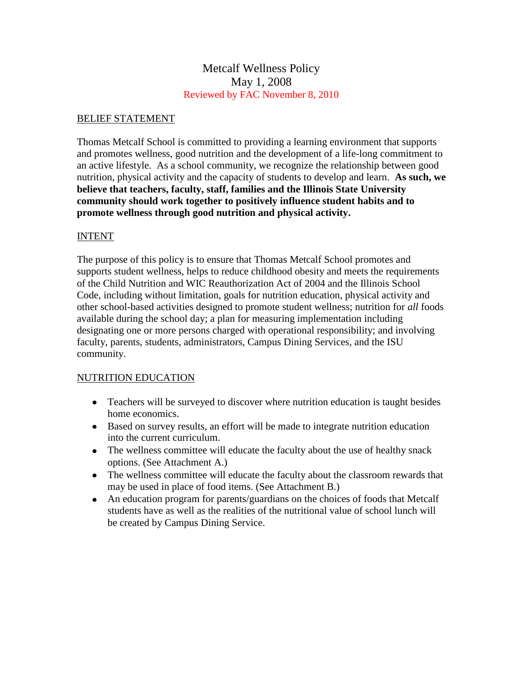# Metcalf Wellness Policy May 1, 2008 Reviewed by FAC November 8, 2010

## BELIEF STATEMENT

Thomas Metcalf School is committed to providing a learning environment that supports and promotes wellness, good nutrition and the development of a life-long commitment to an active lifestyle. As a school community, we recognize the relationship between good nutrition, physical activity and the capacity of students to develop and learn. **As such, we believe that teachers, faculty, staff, families and the Illinois State University community should work together to positively influence student habits and to promote wellness through good nutrition and physical activity.**

## INTENT

The purpose of this policy is to ensure that Thomas Metcalf School promotes and supports student wellness, helps to reduce childhood obesity and meets the requirements of the Child Nutrition and WIC Reauthorization Act of 2004 and the Illinois School Code, including without limitation, goals for nutrition education, physical activity and other school-based activities designed to promote student wellness; nutrition for *all* foods available during the school day; a plan for measuring implementation including designating one or more persons charged with operational responsibility; and involving faculty, parents, students, administrators, Campus Dining Services, and the ISU community.

## NUTRITION EDUCATION

- Teachers will be surveyed to discover where nutrition education is taught besides home economics.
- Based on survey results, an effort will be made to integrate nutrition education into the current curriculum.
- The wellness committee will educate the faculty about the use of healthy snack options. (See Attachment A.)
- The wellness committee will educate the faculty about the classroom rewards that may be used in place of food items. (See Attachment B.)
- An education program for parents/guardians on the choices of foods that Metcalf students have as well as the realities of the nutritional value of school lunch will be created by Campus Dining Service.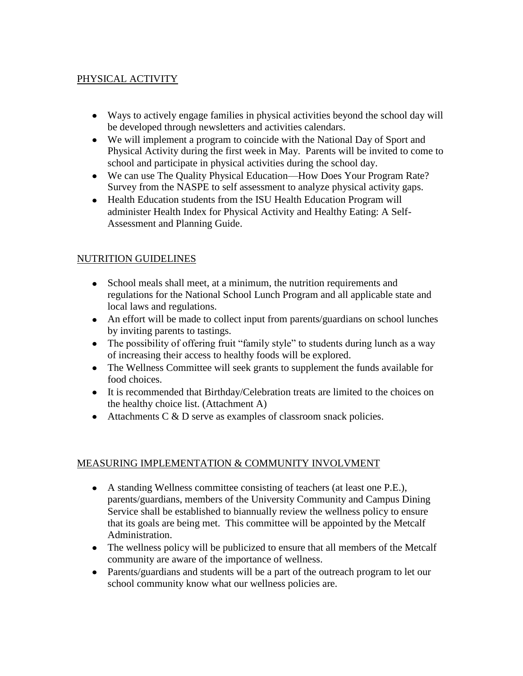# PHYSICAL ACTIVITY

- Ways to actively engage families in physical activities beyond the school day will be developed through newsletters and activities calendars.
- We will implement a program to coincide with the National Day of Sport and Physical Activity during the first week in May. Parents will be invited to come to school and participate in physical activities during the school day.
- We can use The Quality Physical Education—How Does Your Program Rate? Survey from the NASPE to self assessment to analyze physical activity gaps.
- Health Education students from the ISU Health Education Program will administer Health Index for Physical Activity and Healthy Eating: A Self-Assessment and Planning Guide.

# NUTRITION GUIDELINES

- School meals shall meet, at a minimum, the nutrition requirements and regulations for the National School Lunch Program and all applicable state and local laws and regulations.
- An effort will be made to collect input from parents/guardians on school lunches by inviting parents to tastings.
- The possibility of offering fruit "family style" to students during lunch as a way of increasing their access to healthy foods will be explored.
- The Wellness Committee will seek grants to supplement the funds available for food choices.
- It is recommended that Birthday/Celebration treats are limited to the choices on the healthy choice list. (Attachment A)
- $\bullet$  Attachments C & D serve as examples of classroom snack policies.

## MEASURING IMPLEMENTATION & COMMUNITY INVOLVMENT

- A standing Wellness committee consisting of teachers (at least one P.E.), parents/guardians, members of the University Community and Campus Dining Service shall be established to biannually review the wellness policy to ensure that its goals are being met. This committee will be appointed by the Metcalf Administration.
- The wellness policy will be publicized to ensure that all members of the Metcalf community are aware of the importance of wellness.
- Parents/guardians and students will be a part of the outreach program to let our school community know what our wellness policies are.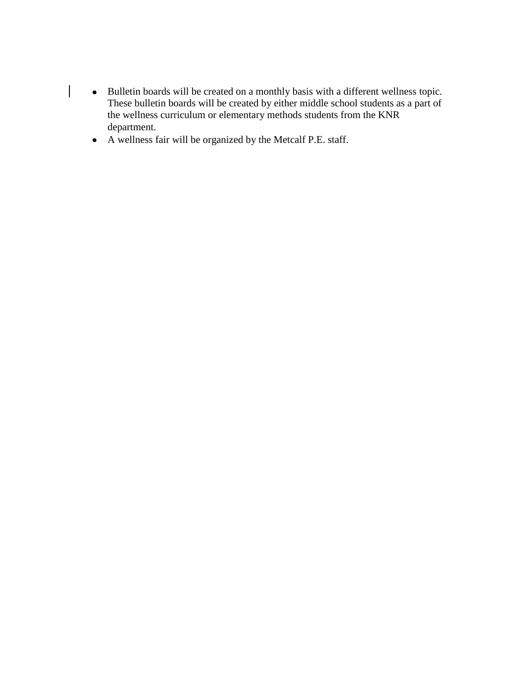- Bulletin boards will be created on a monthly basis with a different wellness topic. These bulletin boards will be created by either middle school students as a part of the wellness curriculum or elementary methods students from the KNR department.
- A wellness fair will be organized by the Metcalf P.E. staff.

 $\begin{array}{c} \hline \end{array}$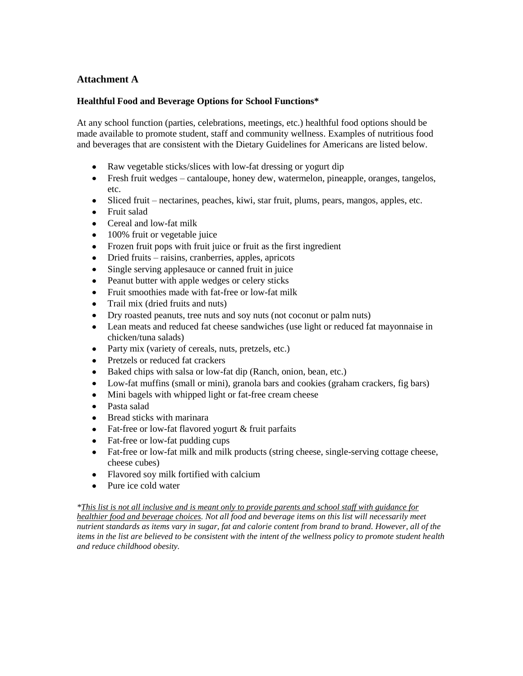## **Attachment A**

#### **Healthful Food and Beverage Options for School Functions\***

At any school function (parties, celebrations, meetings, etc.) healthful food options should be made available to promote student, staff and community wellness. Examples of nutritious food and beverages that are consistent with the Dietary Guidelines for Americans are listed below.

- Raw vegetable sticks/slices with low-fat dressing or yogurt dip
- Fresh fruit wedges cantaloupe, honey dew, watermelon, pineapple, oranges, tangelos, etc.
- Sliced fruit nectarines, peaches, kiwi, star fruit, plums, pears, mangos, apples, etc.
- Fruit salad
- Cereal and low-fat milk
- 100% fruit or vegetable juice
- Frozen fruit pops with fruit juice or fruit as the first ingredient
- Dried fruits raisins, cranberries, apples, apricots
- Single serving applesauce or canned fruit in juice
- Peanut butter with apple wedges or celery sticks
- Fruit smoothies made with fat-free or low-fat milk
- Trail mix (dried fruits and nuts)
- Dry roasted peanuts, tree nuts and soy nuts (not coconut or palm nuts)
- Lean meats and reduced fat cheese sandwiches (use light or reduced fat mayonnaise in chicken/tuna salads)
- Party mix (variety of cereals, nuts, pretzels, etc.)
- Pretzels or reduced fat crackers
- Baked chips with salsa or low-fat dip (Ranch, onion, bean, etc.)
- Low-fat muffins (small or mini), granola bars and cookies (graham crackers, fig bars)
- Mini bagels with whipped light or fat-free cream cheese
- Pasta salad
- Bread sticks with marinara
- Fat-free or low-fat flavored yogurt & fruit parfaits
- Fat-free or low-fat pudding cups
- Fat-free or low-fat milk and milk products (string cheese, single-serving cottage cheese, cheese cubes)
- Flavored soy milk fortified with calcium
- Pure ice cold water

#### *\*This list is not all inclusive and is meant only to provide parents and school staff with guidance for*

*healthier food and beverage choices. Not all food and beverage items on this list will necessarily meet nutrient standards as items vary in sugar, fat and calorie content from brand to brand. However, all of the items in the list are believed to be consistent with the intent of the wellness policy to promote student health and reduce childhood obesity.*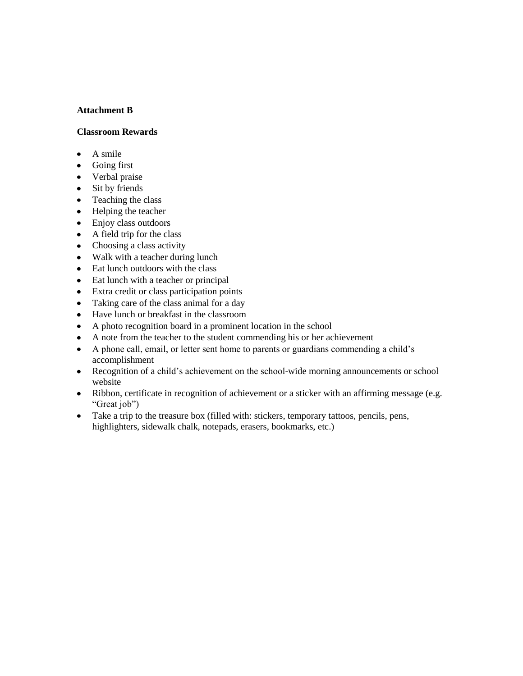#### **Attachment B**

#### **Classroom Rewards**

- $\bullet$ A smile
- Going first
- Verbal praise
- Sit by friends
- Teaching the class
- Helping the teacher
- Enjoy class outdoors
- $\bullet$ A field trip for the class
- Choosing a class activity
- Walk with a teacher during lunch
- Eat lunch outdoors with the class
- Eat lunch with a teacher or principal  $\bullet$
- Extra credit or class participation points  $\bullet$
- Taking care of the class animal for a day  $\bullet$
- Have lunch or breakfast in the classroom
- A photo recognition board in a prominent location in the school  $\bullet$
- A note from the teacher to the student commending his or her achievement  $\bullet$
- A phone call, email, or letter sent home to parents or guardians commending a child's  $\bullet$ accomplishment
- Recognition of a child's achievement on the school-wide morning announcements or school  $\bullet$ website
- Ribbon, certificate in recognition of achievement or a sticker with an affirming message (e.g. "Great job")
- Take a trip to the treasure box (filled with: stickers, temporary tattoos, pencils, pens, highlighters, sidewalk chalk, notepads, erasers, bookmarks, etc.)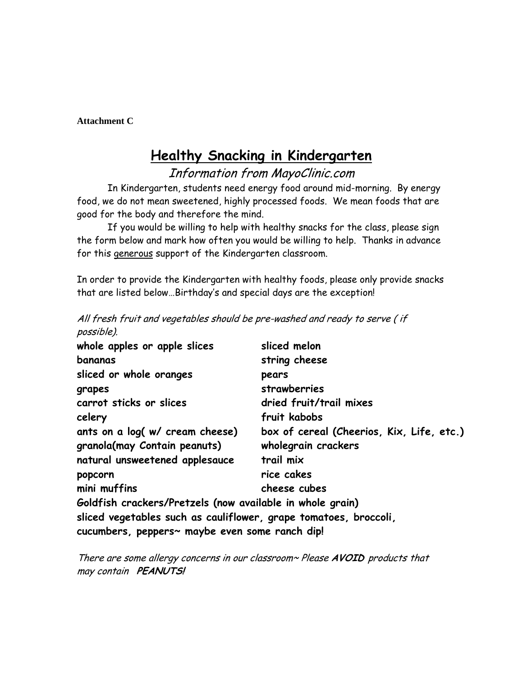**Attachment C**

# **Healthy Snacking in Kindergarten**

Information from MayoClinic.com

In Kindergarten, students need energy food around mid-morning. By energy food, we do not mean sweetened, highly processed foods. We mean foods that are good for the body and therefore the mind.

If you would be willing to help with healthy snacks for the class, please sign the form below and mark how often you would be willing to help. Thanks in advance for this generous support of the Kindergarten classroom.

In order to provide the Kindergarten with healthy foods, please only provide snacks that are listed below…Birthday's and special days are the exception!

| possible).                                                       |                                           |
|------------------------------------------------------------------|-------------------------------------------|
| whole apples or apple slices                                     | sliced melon                              |
| bananas                                                          | string cheese                             |
| sliced or whole oranges                                          | pears                                     |
| grapes                                                           | strawberries                              |
| carrot sticks or slices                                          | dried fruit/trail mixes                   |
| celery                                                           | fruit kabobs                              |
| ants on a log( w/ cream cheese)                                  | box of cereal (Cheerios, Kix, Life, etc.) |
| granola(may Contain peanuts)                                     | wholegrain crackers                       |
| natural unsweetened applesauce                                   | trail mix                                 |
| popcorn                                                          | rice cakes                                |
| mini muffins                                                     | cheese cubes                              |
| Goldfish crackers/Pretzels (now available in whole grain)        |                                           |
| sliced vegetables such as cauliflower, grape tomatoes, broccoli, |                                           |
| cucumbers, peppers~ maybe even some ranch dip!                   |                                           |
|                                                                  |                                           |

All fresh fruit and vegetables should be pre-washed and ready to serve ( if

There are some allergy concerns in our classroom~ Please **AVOID** products that may contain **PEANUTS!**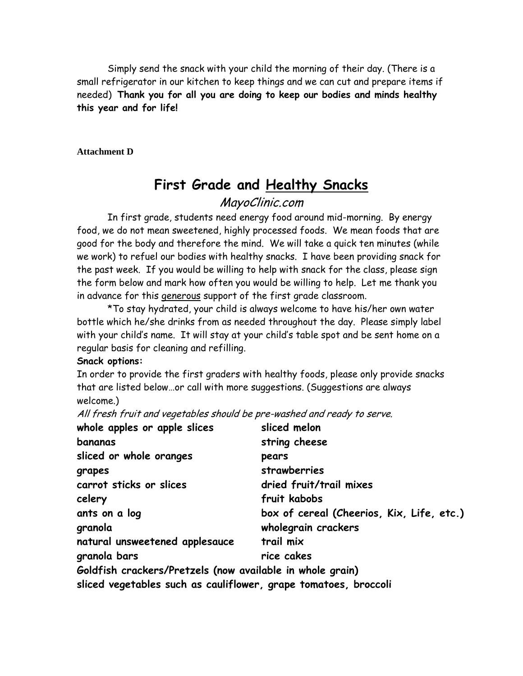Simply send the snack with your child the morning of their day. (There is a small refrigerator in our kitchen to keep things and we can cut and prepare items if needed) **Thank you for all you are doing to keep our bodies and minds healthy this year and for life!**

#### **Attachment D**

# **First Grade and Healthy Snacks**

# MayoClinic.com

In first grade, students need energy food around mid-morning. By energy food, we do not mean sweetened, highly processed foods. We mean foods that are good for the body and therefore the mind. We will take a quick ten minutes (while we work) to refuel our bodies with healthy snacks. I have been providing snack for the past week. If you would be willing to help with snack for the class, please sign the form below and mark how often you would be willing to help. Let me thank you in advance for this generous support of the first grade classroom.

\*To stay hydrated, your child is always welcome to have his/her own water bottle which he/she drinks from as needed throughout the day. Please simply label with your child's name. It will stay at your child's table spot and be sent home on a regular basis for cleaning and refilling.

## **Snack options:**

In order to provide the first graders with healthy foods, please only provide snacks that are listed below…or call with more suggestions. (Suggestions are always welcome.)

All fresh fruit and vegetables should be pre-washed and ready to serve.

| whole apples or apple slices                                    | sliced melon                              |
|-----------------------------------------------------------------|-------------------------------------------|
| bananas                                                         | string cheese                             |
| sliced or whole oranges                                         | pears                                     |
| grapes                                                          | strawberries                              |
| carrot sticks or slices                                         | dried fruit/trail mixes                   |
| celery                                                          | fruit kabobs                              |
| ants on a log                                                   | box of cereal (Cheerios, Kix, Life, etc.) |
| granola                                                         | wholegrain crackers                       |
| natural unsweetened applesauce                                  | trail mix                                 |
| granola bars                                                    | rice cakes                                |
| Goldfish crackers/Pretzels (now available in whole grain)       |                                           |
| sliced vegetables such as cauliflower, grape tomatoes, broccoli |                                           |